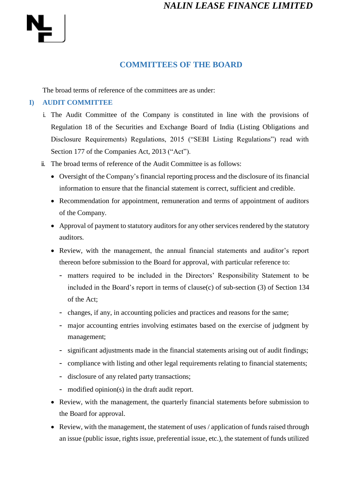#### **COMMITTEES OF THE BOARD**

The broad terms of reference of the committees are as under:

#### **I) AUDIT COMMITTEE**

- i. The Audit Committee of the Company is constituted in line with the provisions of Regulation 18 of the Securities and Exchange Board of India (Listing Obligations and Disclosure Requirements) Regulations, 2015 ("SEBI Listing Regulations") read with Section 177 of the Companies Act, 2013 ("Act").
- ii. The broad terms of reference of the Audit Committee is as follows:
	- Oversight of the Company's financial reporting process and the disclosure of its financial information to ensure that the financial statement is correct, sufficient and credible.
	- Recommendation for appointment, remuneration and terms of appointment of auditors of the Company.
	- Approval of payment to statutory auditors for any other services rendered by the statutory auditors.
	- Review, with the management, the annual financial statements and auditor's report thereon before submission to the Board for approval, with particular reference to:
		- matters required to be included in the Directors' Responsibility Statement to be included in the Board's report in terms of clause(c) of sub-section (3) of Section 134 of the Act;
		- changes, if any, in accounting policies and practices and reasons for the same;
		- major accounting entries involving estimates based on the exercise of judgment by management;
		- significant adjustments made in the financial statements arising out of audit findings;
		- compliance with listing and other legal requirements relating to financial statements;
		- disclosure of any related party transactions;
		- modified opinion(s) in the draft audit report.
	- Review, with the management, the quarterly financial statements before submission to the Board for approval.
	- Review, with the management, the statement of uses / application of funds raised through an issue (public issue, rights issue, preferential issue, etc.), the statement of funds utilized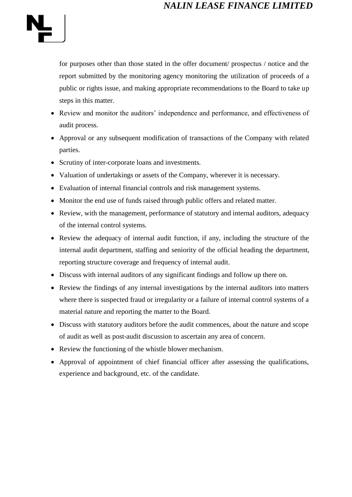

for purposes other than those stated in the offer document/ prospectus / notice and the report submitted by the monitoring agency monitoring the utilization of proceeds of a public or rights issue, and making appropriate recommendations to the Board to take up steps in this matter.

- Review and monitor the auditors' independence and performance, and effectiveness of audit process.
- Approval or any subsequent modification of transactions of the Company with related parties.
- Scrutiny of inter-corporate loans and investments.
- Valuation of undertakings or assets of the Company, wherever it is necessary.
- Evaluation of internal financial controls and risk management systems.
- Monitor the end use of funds raised through public offers and related matter.
- Review, with the management, performance of statutory and internal auditors, adequacy of the internal control systems.
- Review the adequacy of internal audit function, if any, including the structure of the internal audit department, staffing and seniority of the official heading the department, reporting structure coverage and frequency of internal audit.
- Discuss with internal auditors of any significant findings and follow up there on.
- Review the findings of any internal investigations by the internal auditors into matters where there is suspected fraud or irregularity or a failure of internal control systems of a material nature and reporting the matter to the Board.
- Discuss with statutory auditors before the audit commences, about the nature and scope of audit as well as post-audit discussion to ascertain any area of concern.
- Review the functioning of the whistle blower mechanism.
- Approval of appointment of chief financial officer after assessing the qualifications, experience and background, etc. of the candidate.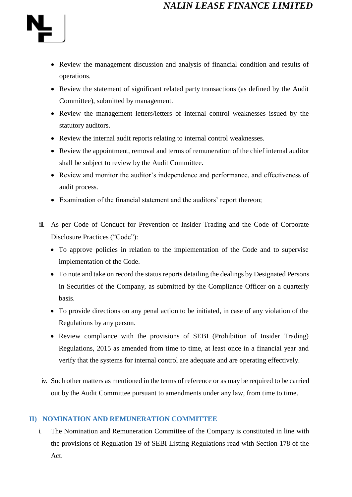

- Review the management discussion and analysis of financial condition and results of operations.
- Review the statement of significant related party transactions (as defined by the Audit Committee), submitted by management.
- Review the management letters/letters of internal control weaknesses issued by the statutory auditors.
- Review the internal audit reports relating to internal control weaknesses.
- Review the appointment, removal and terms of remuneration of the chief internal auditor shall be subject to review by the Audit Committee.
- Review and monitor the auditor's independence and performance, and effectiveness of audit process.
- Examination of the financial statement and the auditors' report thereon;
- iii. As per Code of Conduct for Prevention of Insider Trading and the Code of Corporate Disclosure Practices ("Code"):
	- To approve policies in relation to the implementation of the Code and to supervise implementation of the Code.
	- To note and take on record the status reports detailing the dealings by Designated Persons in Securities of the Company, as submitted by the Compliance Officer on a quarterly basis.
	- To provide directions on any penal action to be initiated, in case of any violation of the Regulations by any person.
	- Review compliance with the provisions of SEBI (Prohibition of Insider Trading) Regulations, 2015 as amended from time to time, at least once in a financial year and verify that the systems for internal control are adequate and are operating effectively.
- iv. Such other matters as mentioned in the terms of reference or as may be required to be carried out by the Audit Committee pursuant to amendments under any law, from time to time.

#### **II) NOMINATION AND REMUNERATION COMMITTEE**

i. The Nomination and Remuneration Committee of the Company is constituted in line with the provisions of Regulation 19 of SEBI Listing Regulations read with Section 178 of the Act.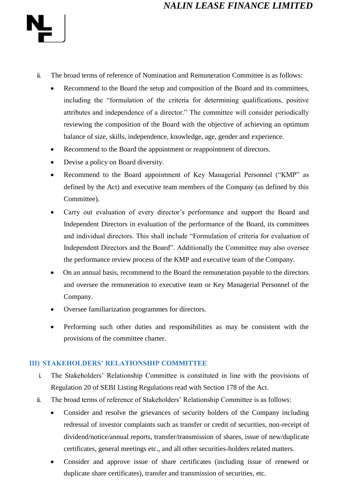

- ii. The broad terms of reference of Nomination and Remuneration Committee is as follows:
	- Recommend to the Board the setup and composition of the Board and its committees, including the "formulation of the criteria for determining qualifications, positive attributes and independence of a director." The committee will consider periodically reviewing the composition of the Board with the objective of achieving an optimum balance of size, skills, independence, knowledge, age, gender and experience.
	- Recommend to the Board the appointment or reappointment of directors.
	- Devise a policy on Board diversity.
	- Recommend to the Board appointment of Key Managerial Personnel ("KMP" as defined by the Act) and executive team members of the Company (as defined by this Committee).
	- Carry out evaluation of every director's performance and support the Board and Independent Directors in evaluation of the performance of the Board, its committees and individual directors. This shall include "Formulation of criteria for evaluation of Independent Directors and the Board". Additionally the Committee may also oversee the performance review process of the KMP and executive team of the Company.
	- On an annual basis, recommend to the Board the remuneration payable to the directors and oversee the remuneration to executive team or Key Managerial Personnel of the Company.
	- Oversee familiarization programmes for directors.
	- Performing such other duties and responsibilities as may be consistent with the provisions of the committee charter.

#### **III) STAKEHOLDERS' RELATIONSHIP COMMITTEE**

- i. The Stakeholders' Relationship Committee is constituted in line with the provisions of Regulation 20 of SEBI Listing Regulations read with Section 178 of the Act.
- ii. The broad terms of reference of Stakeholders' Relationship Committee is as follows:
	- Consider and resolve the grievances of security holders of the Company including redressal of investor complaints such as transfer or credit of securities, non-receipt of dividend/notice/annual reports, transfer/transmission of shares, issue of new/duplicate certificates, general meetings etc., and all other securities-holders related matters.
	- Consider and approve issue of share certificates (including issue of renewed or duplicate share certificates), transfer and transmission of securities, etc.